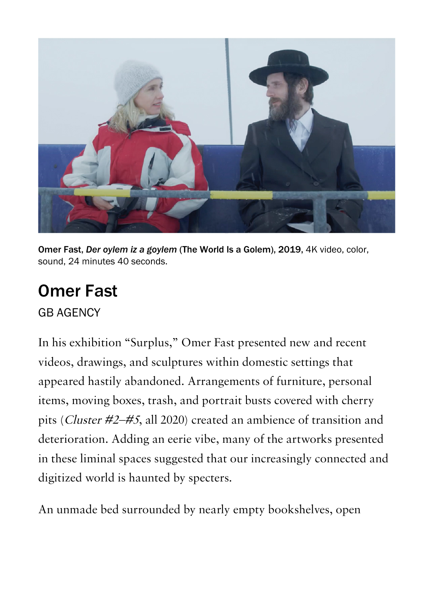

Omer Fast, *Der oylem iz a goylem* (The World Is a Golem), 2019, 4K video, color, sound, 24 minutes 40 seconds.

## [Omer Fast](https://www.artforum.com/print/reviews/202203/omer-fast-87892)

[GB AGENCY](https://www.artforum.com/artguide/gb-agency-3918)

In his exhibition "Surplus," Omer Fast presented new and recent videos, drawings, and sculptures within domestic settings that appeared hastily abandoned. Arrangements of furniture, personal items, moving boxes, trash, and portrait busts covered with cherry pits (Cluster #2–#5, all 2020) created an ambience of transition and deterioration. Adding an eerie vibe, many of the artworks presented in these liminal spaces suggested that our increasingly connected and digitized world is haunted by specters.

An unmade bed surrounded by nearly empty bookshelves, open